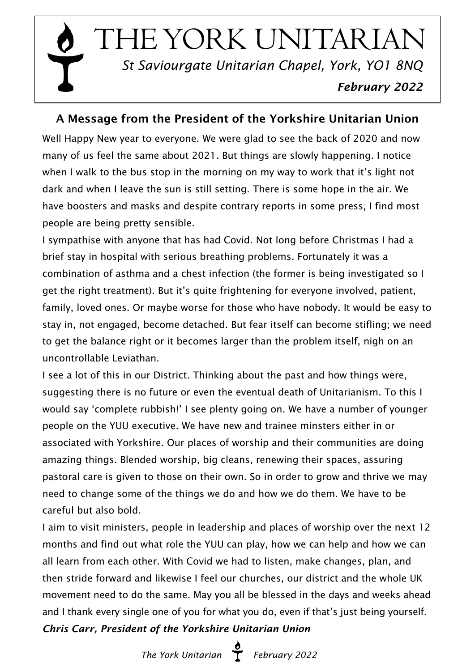$\overline{1}$ THE YORK UNITARIAN  *St Saviourgate Unitarian Chapel, York, YO1 8NQ February 2022*

# A Message from the President of the Yorkshire Unitarian Union

Well Happy New year to everyone. We were glad to see the back of 2020 and now many of us feel the same about 2021. But things are slowly happening. I notice when I walk to the bus stop in the morning on my way to work that it's light not dark and when I leave the sun is still setting. There is some hope in the air. We have boosters and masks and despite contrary reports in some press, I find most people are being pretty sensible.

I sympathise with anyone that has had Covid. Not long before Christmas I had a brief stay in hospital with serious breathing problems. Fortunately it was a combination of asthma and a chest infection (the former is being investigated so I get the right treatment). But it's quite frightening for everyone involved, patient, family, loved ones. Or maybe worse for those who have nobody. It would be easy to stay in, not engaged, become detached. But fear itself can become stifling; we need to get the balance right or it becomes larger than the problem itself, nigh on an uncontrollable Leviathan.

I see a lot of this in our District. Thinking about the past and how things were, suggesting there is no future or even the eventual death of Unitarianism. To this I would say 'complete rubbish!' I see plenty going on. We have a number of younger people on the YUU executive. We have new and trainee minsters either in or associated with Yorkshire. Our places of worship and their communities are doing amazing things. Blended worship, big cleans, renewing their spaces, assuring pastoral care is given to those on their own. So in order to grow and thrive we may need to change some of the things we do and how we do them. We have to be careful but also bold.

I aim to visit ministers, people in leadership and places of worship over the next 12 months and find out what role the YUU can play, how we can help and how we can all learn from each other. With Covid we had to listen, make changes, plan, and then stride forward and likewise I feel our churches, our district and the whole UK movement need to do the same. May you all be blessed in the days and weeks ahead and I thank every single one of you for what you do, even if that's just being yourself. *Chris Carr, President of the Yorkshire Unitarian Union*

 *The York Unitarian February 2022*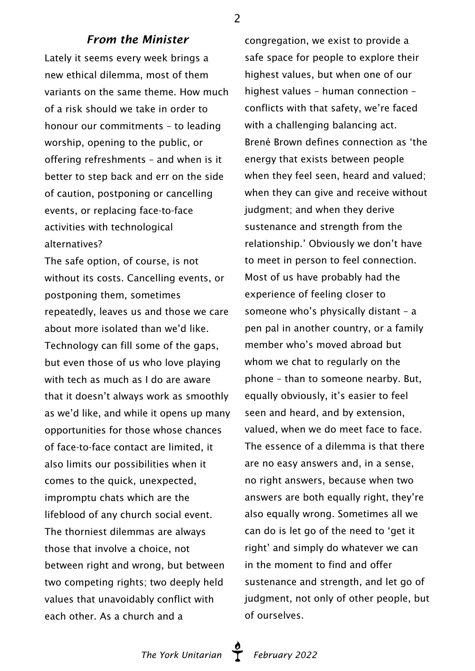#### *From the Minister*

Lately it seems every week brings a new ethical dilemma, most of them variants on the same theme. How much of a risk should we take in order to honour our commitments – to leading worship, opening to the public, or offering refreshments – and when is it better to step back and err on the side of caution, postponing or cancelling events, or replacing face-to-face activities with technological alternatives?

The safe option, of course, is not without its costs. Cancelling events, or postponing them, sometimes repeatedly, leaves us and those we care about more isolated than we'd like. Technology can fill some of the gaps, but even those of us who love playing with tech as much as I do are aware that it doesn't always work as smoothly as we'd like, and while it opens up many opportunities for those whose chances of face-to-face contact are limited, it also limits our possibilities when it comes to the quick, unexpected, impromptu chats which are the lifeblood of any church social event. The thorniest dilemmas are always those that involve a choice, not between right and wrong, but between two competing rights; two deeply held values that unavoidably conflict with each other. As a church and a

congregation, we exist to provide a safe space for people to explore their highest values, but when one of our highest values – human connection – conflicts with that safety, we're faced with a challenging balancing act. Brené Brown defines connection as 'the energy that exists between people when they feel seen, heard and valued; when they can give and receive without judgment; and when they derive sustenance and strength from the relationship.' Obviously we don't have to meet in person to feel connection. Most of us have probably had the experience of feeling closer to someone who's physically distant – a pen pal in another country, or a family member who's moved abroad but whom we chat to regularly on the phone – than to someone nearby. But, equally obviously, it's easier to feel seen and heard, and by extension, valued, when we do meet face to face. The essence of a dilemma is that there are no easy answers and, in a sense, no right answers, because when two answers are both equally right, they're also equally wrong. Sometimes all we can do is let go of the need to 'get it right' and simply do whatever we can in the moment to find and offer sustenance and strength, and let go of judgment, not only of other people, but of ourselves.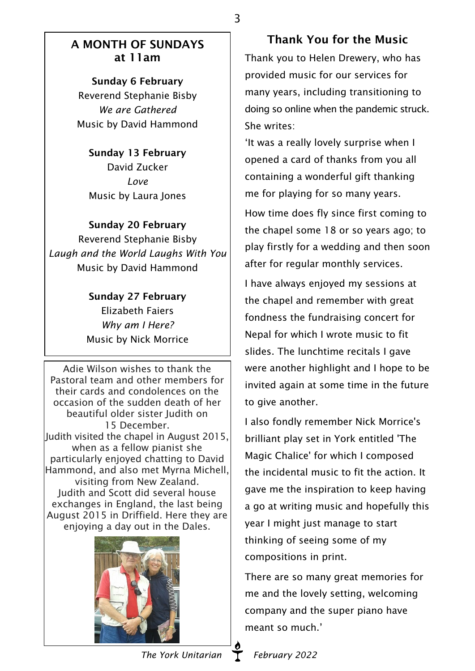### A MONTH OF SUNDAYS at 11am

Sunday 6 February Reverend Stephanie Bisby *We are Gathered* Music by David Hammond

#### Sunday 13 February

David Zucker *Love* Music by Laura Jones

#### Sunday 20 February

Reverend Stephanie Bisby *Laugh and the World Laughs With You* Music by David Hammond

> Sunday 27 February Elizabeth Faiers *Why am I Here?* Music by Nick Morrice

Adie Wilson wishes to thank the Pastoral team and other members for their cards and condolences on the occasion of the sudden death of her beautiful older sister Judith on 15 December. Judith visited the chapel in August 2015, when as a fellow pianist she particularly enjoyed chatting to David Hammond, and also met Myrna Michell, visiting from New Zealand. Judith and Scott did several house exchanges in England, the last being August 2015 in Driffield. Here they are enjoying a day out in the Dales.



Thank You for the Music Thank you to Helen Drewery, who has provided music for our services for many years, including transitioning to

doing so online when the pandemic struck. She writes:

'It was a really lovely surprise when I opened a card of thanks from you all containing a wonderful gift thanking me for playing for so many years.

How time does fly since first coming to the chapel some 18 or so years ago; to play firstly for a wedding and then soon after for regular monthly services.

I have always enjoyed my sessions at the chapel and remember with great fondness the fundraising concert for Nepal for which I wrote music to fit slides. The lunchtime recitals I gave were another highlight and I hope to be invited again at some time in the future to give another.

I also fondly remember Nick Morrice's brilliant play set in York entitled 'The Magic Chalice' for which I composed the incidental music to fit the action. It gave me the inspiration to keep having a go at writing music and hopefully this year I might just manage to start thinking of seeing some of my compositions in print.

There are so many great memories for me and the lovely setting, welcoming company and the super piano have meant so much.'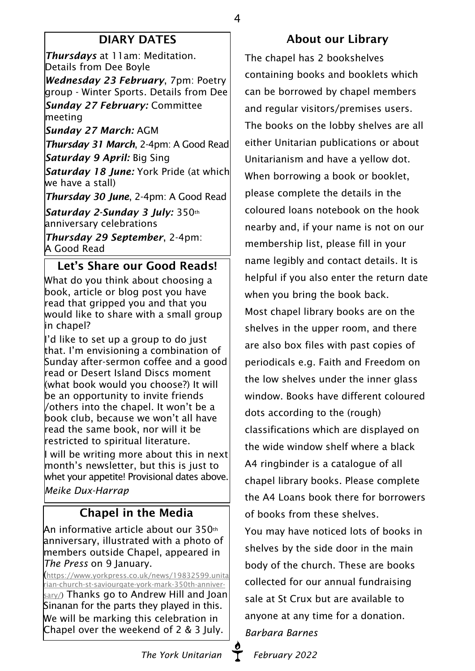# DIARY DATES

4

*Thursdays* at 11am: Meditation. Details from Dee Boyle

*Wednesday 23 February*, 7pm: Poetry group - Winter Sports. Details from Dee *Sunday 27 February:* Committee meeting

*Sunday 27 March:* AGM

*Thursday 31 March*, 2-4pm: A Good Read *Saturday 9 April:* Big Sing

*Saturday 18 June:* York Pride (at which we have a stall)

*Thursday 30 June*, 2-4pm: A Good Read

*Saturday 2-Sunday 3 July:* 350th anniversary celebrations

*Thursday 29 September*, 2-4pm: A Good Read

Let's Share our Good Reads!

What do you think about choosing a book, article or blog post you have read that gripped you and that you would like to share with a small group in chapel?

I'd like to set up a group to do just that. I'm envisioning a combination of Sunday after-sermon coffee and a good read or Desert Island Discs moment (what book would you choose?) It will be an opportunity to invite friends /others into the chapel. It won't be a book club, because we won't all have read the same book, nor will it be restricted to spiritual literature.

I will be writing more about this in next month's newsletter, but this is just to whet your appetite! Provisional dates above. *Meike Dux-Harrap*

# Chapel in the Media

 $\,$ An informative article about our 350th  $\,$ anniversary, illustrated with a photo of members outside Chapel, appeared in *The Press* on 9 January.

([https://www.yorkpress.co.uk/news/19832599.unita](https://www.yorkpress.co.uk/news/19832599.unitarian-church-st-saviourgate-york-mark-350th-anniversary/) [rian-church-st-saviourgate-york-mark-350th-anniver](https://www.yorkpress.co.uk/news/19832599.unitarian-church-st-saviourgate-york-mark-350th-anniversary/)[sary/\)](https://www.yorkpress.co.uk/news/19832599.unitarian-church-st-saviourgate-york-mark-350th-anniversary/) Thanks go to Andrew Hill and Joan Sinanan for the parts they played in this. We will be marking this celebration in Chapel over the weekend of 2 & 3 July.

# About our Library

The chapel has 2 bookshelves containing books and booklets which can be borrowed by chapel members and regular visitors/premises users. The books on the lobby shelves are all either Unitarian publications or about Unitarianism and have a yellow dot. When borrowing a book or booklet, please complete the details in the coloured loans notebook on the hook nearby and, if your name is not on our membership list, please fill in your name legibly and contact details. It is helpful if you also enter the return date when you bring the book back. Most chapel library books are on the shelves in the upper room, and there are also box files with past copies of periodicals e.g. Faith and Freedom on the low shelves under the inner glass window. Books have different coloured dots according to the (rough) classifications which are displayed on the wide window shelf where a black A4 ringbinder is a catalogue of all chapel library books. Please complete the A4 Loans book there for borrowers of books from these shelves. You may have noticed lots of books in shelves by the side door in the main body of the church. These are books collected for our annual fundraising sale at St Crux but are available to anyone at any time for a donation. *Barbara Barnes*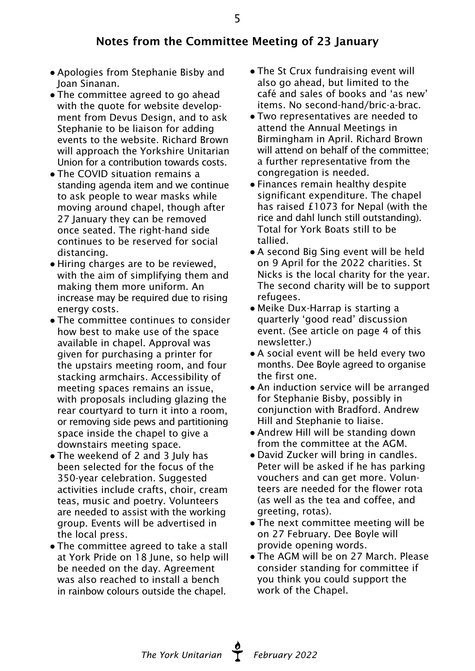## Notes from the Committee Meeting of 23 January

- Apologies from Stephanie Bisby and Joan Sinanan.
- The committee agreed to go ahead with the quote for website development from Devus Design, and to ask Stephanie to be liaison for adding events to the website. Richard Brown will approach the Yorkshire Unitarian Union for a contribution towards costs.
- The COVID situation remains a standing agenda item and we continue to ask people to wear masks while moving around chapel, though after 27 January they can be removed once seated. The right-hand side continues to be reserved for social distancing.
- Hiring charges are to be reviewed, with the aim of simplifying them and making them more uniform. An increase may be required due to rising energy costs.
- The committee continues to consider how best to make use of the space available in chapel. Approval was given for purchasing a printer for the upstairs meeting room, and four stacking armchairs. Accessibility of meeting spaces remains an issue, with proposals including glazing the rear courtyard to turn it into a room, or removing side pews and partitioning space inside the chapel to give a downstairs meeting space.
- The weekend of 2 and 3 July has been selected for the focus of the 350-year celebration. Suggested activities include crafts, choir, cream teas, music and poetry. Volunteers are needed to assist with the working group. Events will be advertised in the local press.
- The committee agreed to take a stall at York Pride on 18 June, so help will be needed on the day. Agreement was also reached to install a bench in rainbow colours outside the chapel.
- The St Crux fundraising event will also go ahead, but limited to the café and sales of books and 'as new' items. No second-hand/bric-a-brac.
- Two representatives are needed to attend the Annual Meetings in Birmingham in April. Richard Brown will attend on behalf of the committee; a further representative from the congregation is needed.
- Finances remain healthy despite significant expenditure. The chapel has raised £1073 for Nepal (with the rice and dahl lunch still outstanding). Total for York Boats still to be tallied.
- A second Big Sing event will be held on 9 April for the 2022 charities. St Nicks is the local charity for the year. The second charity will be to support refugees.
- Meike Dux-Harrap is starting a quarterly 'good read' discussion event. (See article on page 4 of this newsletter.)
- A social event will be held every two months. Dee Boyle agreed to organise the first one.
- An induction service will be arranged for Stephanie Bisby, possibly in conjunction with Bradford. Andrew Hill and Stephanie to liaise.
- Andrew Hill will be standing down from the committee at the AGM.
- David Zucker will bring in candles. Peter will be asked if he has parking vouchers and can get more. Volunteers are needed for the flower rota (as well as the tea and coffee, and greeting, rotas).
- The next committee meeting will be on 27 February. Dee Boyle will provide opening words.
- The AGM will be on 27 March. Please consider standing for committee if you think you could support the work of the Chapel.